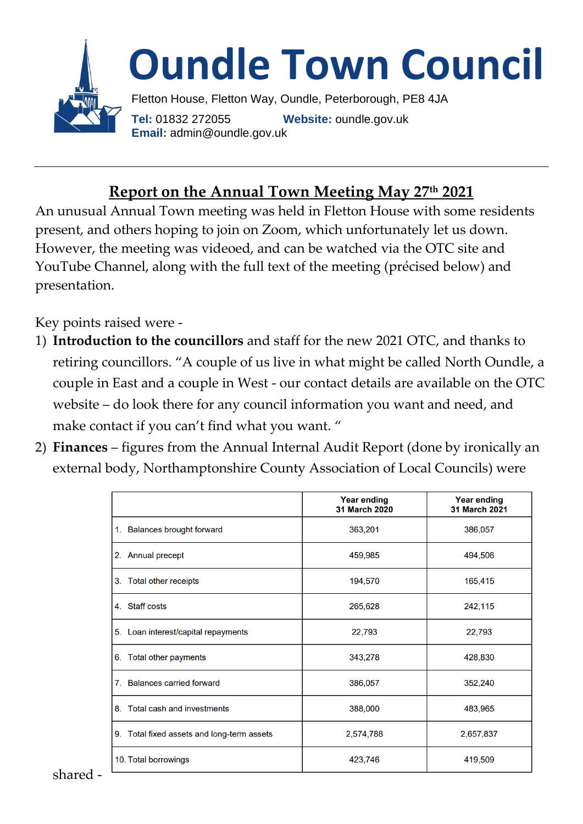

# **Report on the Annual Town Meeting May 27th 2021**

An unusual Annual Town meeting was held in Fletton House with some residents present, and others hoping to join on Zoom, which unfortunately let us down. However, the meeting was videoed, and can be watched via the OTC site and YouTube Channel, along with the full text of the meeting (précised below) and presentation.

Key points raised were -

- 1) **Introduction to the councillors** and staff for the new 2021 OTC, and thanks to retiring councillors. "A couple of us live in what might be called North Oundle, a couple in East and a couple in West - our contact details are available on the OTC website – do look there for any council information you want and need, and make contact if you can't find what you want. "
- 2) **Finances** figures from the Annual Internal Audit Report (done by ironically an external body, Northamptonshire [County Association of](https://www.northantscalc.com/) Local Councils) were

|                                            | <b>Year ending</b><br>31 March 2020 | <b>Year ending</b><br>31 March 2021 |
|--------------------------------------------|-------------------------------------|-------------------------------------|
| 1. Balances brought forward                | 363,201                             | 386,057                             |
| 2. Annual precept                          | 459,985                             | 494,506                             |
| 3. Total other receipts                    | 194,570                             | 165,415                             |
| 4. Staff costs                             | 265,628                             | 242,115                             |
| 5. Loan interest/capital repayments        | 22,793                              | 22,793                              |
| 6. Total other payments                    | 343,278                             | 428,830                             |
| 7. Balances carried forward                | 386,057                             | 352,240                             |
| 8. Total cash and investments              | 388,000                             | 483,965                             |
| 9. Total fixed assets and long-term assets | 2,574,788                           | 2,657,837                           |
| 10. Total borrowings                       | 423,746                             | 419,509                             |

[shared -](https://www.northantscalc.com/)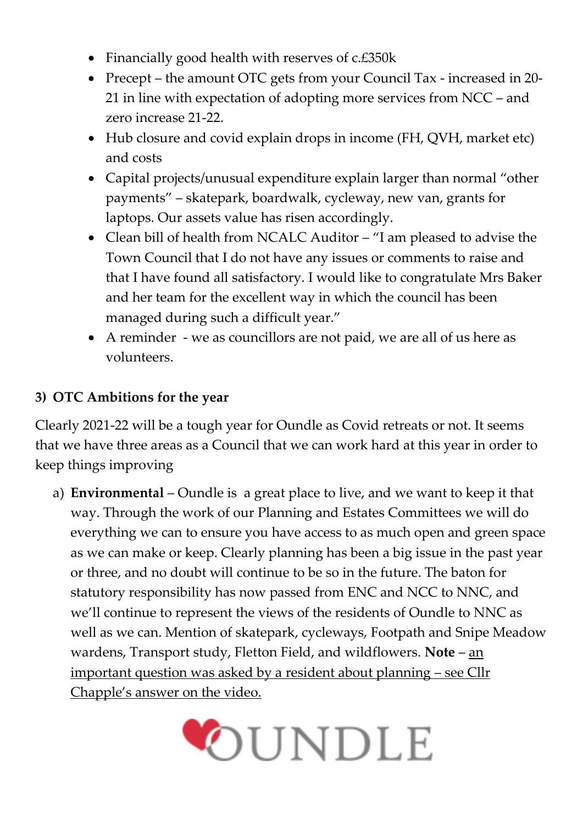- Financially good health with reserves of c.£350k
- Precept the amount OTC gets from your Council Tax increased in 20-21 in line with expectation of adopting more services from NCC – and zero increase 21-22.
- Hub closure and covid explain drops in income (FH, QVH, market etc) and costs
- Capital projects/unusual expenditure explain larger than normal "other payments" – skatepark, boardwalk, cycleway, new van, grants for laptops. Our assets value has risen accordingly.
- Clean bill of health from NCALC Auditor "I am pleased to advise the Town Council that I do not have any issues or comments to raise and that I have found all satisfactory. I would like to congratulate Mrs Baker and her team for the excellent way in which the council has been managed during such a difficult year."
- A reminder we as councillors are not paid, we are all of us here as volunteers.

### **3) OTC Ambitions for the year**

Clearly 2021-22 will be a tough year for Oundle as Covid retreats or not. It seems that we have three areas as a Council that we can work hard at this year in order to keep things improving

a) **Environmental** – Oundle is a great place to live, and we want to keep it that way. Through the work of our Planning and Estates Committees we will do everything we can to ensure you have access to as much open and green space as we can make or keep. Clearly planning has been a big issue in the past year or three, and no doubt will continue to be so in the future. The baton for statutory responsibility has now passed from ENC and NCC to NNC, and we'll continue to represent the views of the residents of Oundle to NNC as well as we can. Mention of skatepark, cycleways, Footpath and Snipe Meadow wardens, Transport study, Fletton Field, and wildflowers. **Note** – an important question was asked by a resident about planning – see Cllr Chapple's answer on the video.

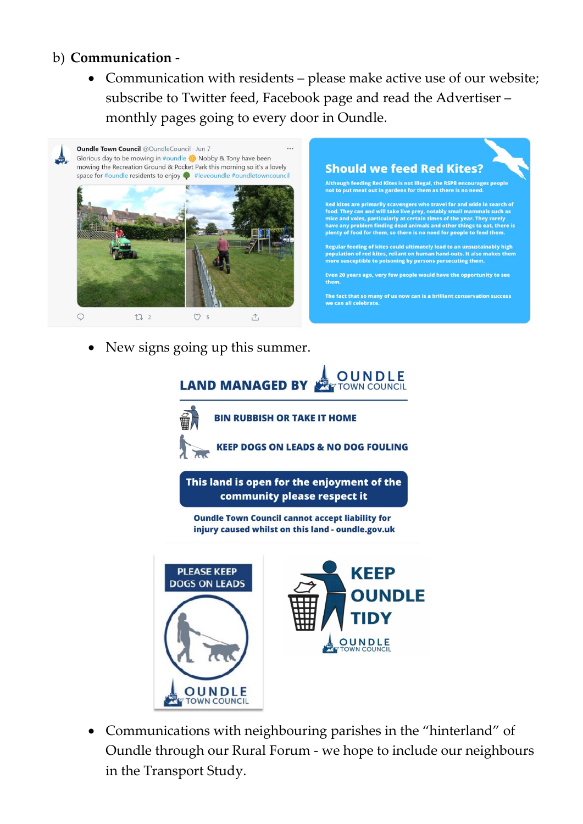### b) **Communication** -

• Communication with residents – please make active use of our website; subscribe to Twitter feed, Facebook page and read the Advertiser – monthly pages going to every door in Oundle.



New signs going up this summer.



• Communications with neighbouring parishes in the "hinterland" of Oundle through our Rural Forum - we hope to include our neighbours in the Transport Study.